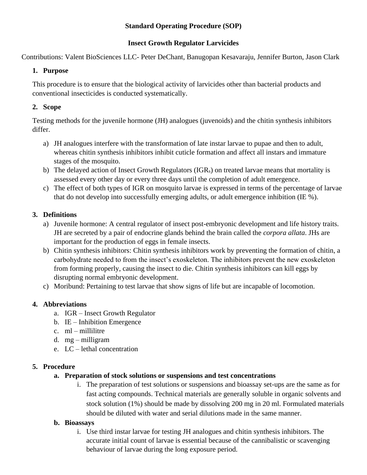# **Standard Operating Procedure (SOP)**

# **Insect Growth Regulator Larvicides**

Contributions: Valent BioSciences LLC- Peter DeChant, Banugopan Kesavaraju, Jennifer Burton, Jason Clark

# **1. Purpose**

This procedure is to ensure that the biological activity of larvicides other than bacterial products and conventional insecticides is conducted systematically.

# **2. Scope**

Testing methods for the juvenile hormone (JH) analogues (juvenoids) and the chitin synthesis inhibitors differ.

- a) JH analogues interfere with the transformation of late instar larvae to pupae and then to adult, whereas chitin synthesis inhibitors inhibit cuticle formation and affect all instars and immature stages of the mosquito.
- b) The delayed action of Insect Growth Regulators (IGR<sub>s</sub>) on treated larvae means that mortality is assessed every other day or every three days until the completion of adult emergence.
- c) The effect of both types of IGR on mosquito larvae is expressed in terms of the percentage of larvae that do not develop into successfully emerging adults, or adult emergence inhibition (IE %).

# **3. Definitions**

- a) Juvenile hormone: A central regulator of insect post-embryonic development and life history traits. JH are secreted by a pair of endocrine glands behind the brain called the *corpora allata*. JHs are important for the production of eggs in female insects.
- b) Chitin synthesis inhibitors: Chitin synthesis inhibitors work by preventing the formation of chitin, a carbohydrate needed to from the insect's exoskeleton. The inhibitors prevent the new exoskeleton from forming properly, causing the insect to die. Chitin synthesis inhibitors can kill eggs by disrupting normal embryonic development.
- c) Moribund: Pertaining to test larvae that show signs of life but are incapable of locomotion.

# **4. Abbreviations**

- a. IGR Insect Growth Regulator
- b. IE Inhibition Emergence
- c. ml millilitre
- d. mg milligram
- e. LC lethal concentration

### **5. Procedure**

- **a. Preparation of stock solutions or suspensions and test concentrations**
	- i. The preparation of test solutions or suspensions and bioassay set-ups are the same as for fast acting compounds. Technical materials are generally soluble in organic solvents and stock solution (1%) should be made by dissolving 200 mg in 20 ml. Formulated materials should be diluted with water and serial dilutions made in the same manner.

### **b. Bioassays**

i. Use third instar larvae for testing JH analogues and chitin synthesis inhibitors. The accurate initial count of larvae is essential because of the cannibalistic or scavenging behaviour of larvae during the long exposure period.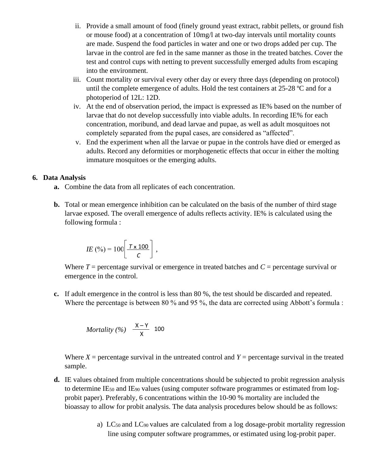- ii. Provide a small amount of food (finely ground yeast extract, rabbit pellets, or ground fish or mouse food) at a concentration of 10mg/l at two-day intervals until mortality counts are made. Suspend the food particles in water and one or two drops added per cup. The larvae in the control are fed in the same manner as those in the treated batches. Cover the test and control cups with netting to prevent successfully emerged adults from escaping into the environment.
- iii. Count mortality or survival every other day or every three days (depending on protocol) until the complete emergence of adults. Hold the test containers at 25-28 ºC and for a photoperiod of 12L: 12D.
- iv. At the end of observation period, the impact is expressed as IE% based on the number of larvae that do not develop successfully into viable adults. In recording IE% for each concentration, moribund, and dead larvae and pupae, as well as adult mosquitoes not completely separated from the pupal cases, are considered as "affected".
- v. End the experiment when all the larvae or pupae in the controls have died or emerged as adults. Record any deformities or morphogenetic effects that occur in either the molting immature mosquitoes or the emerging adults.

#### **6. Data Analysis**

- **a.** Combine the data from all replicates of each concentration.
- **b.** Total or mean emergence inhibition can be calculated on the basis of the number of third stage larvae exposed. The overall emergence of adults reflects activity. IE% is calculated using the following formula :

$$
IE\left(\frac{9}{6}\right) = 100 \left[ \frac{T \times 100}{C} \right],
$$

Where  $T =$  percentage survival or emergence in treated batches and  $C =$  percentage survival or emergence in the control.

**c.** If adult emergence in the control is less than 80 %, the test should be discarded and repeated. Where the percentage is between 80 % and 95 %, the data are corrected using Abbott's formula :

*Mortality* (%) 
$$
\frac{X-Y}{X}
$$
 100

Where  $X =$  percentage survival in the untreated control and  $Y =$  percentage survival in the treated sample.

- **d.** IE values obtained from multiple concentrations should be subjected to probit regression analysis to determine IE<sub>50</sub> and IE<sub>90</sub> values (using computer software programmes or estimated from logprobit paper). Preferably, 6 concentrations within the 10-90 % mortality are included the bioassay to allow for probit analysis. The data analysis procedures below should be as follows:
	- a) LC50 and LC90 values are calculated from a log dosage-probit mortality regression line using computer software programmes, or estimated using log-probit paper.